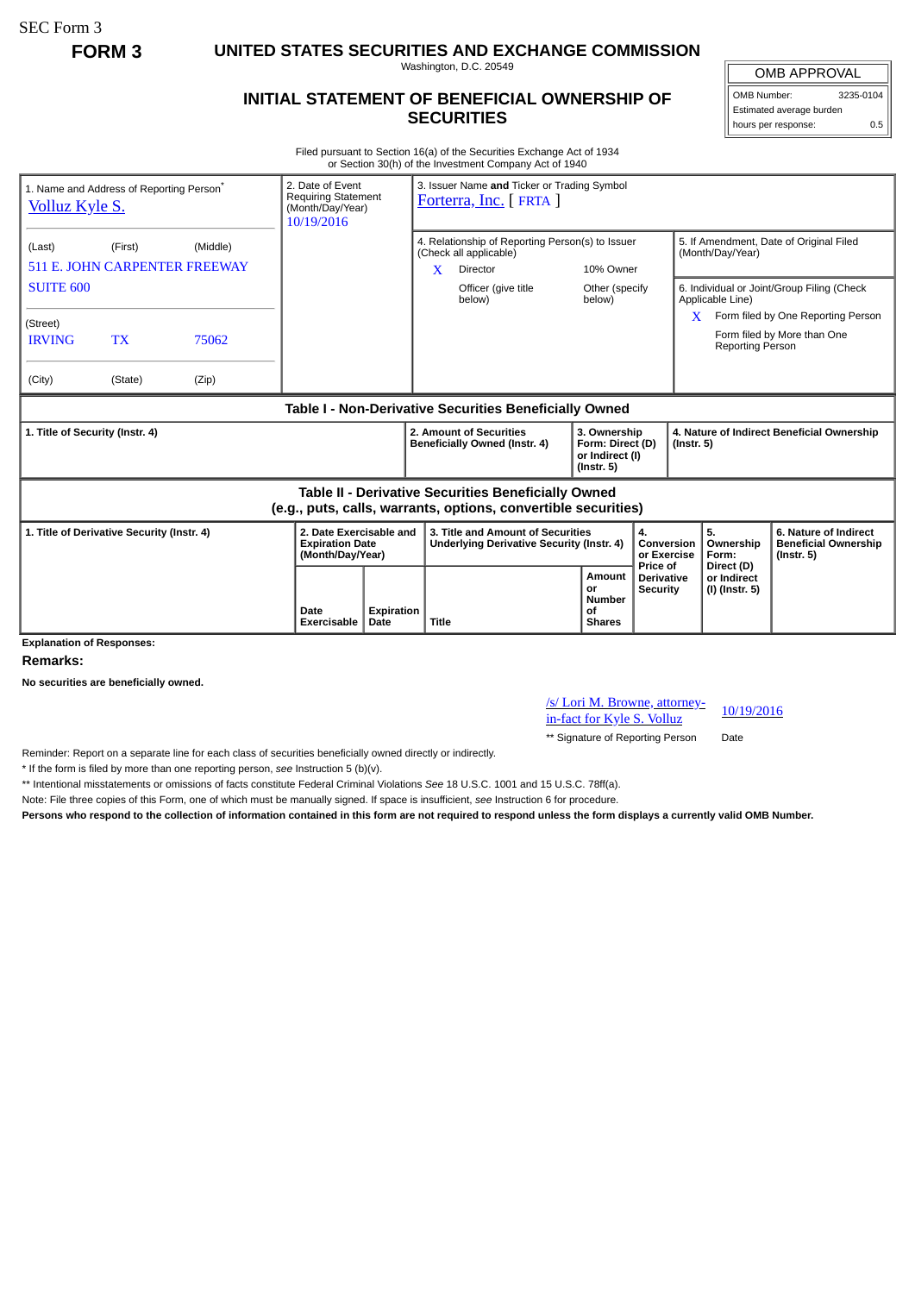SEC Form 3

**FORM 3 UNITED STATES SECURITIES AND EXCHANGE COMMISSION**

Washington, D.C. 20549

## **INITIAL STATEMENT OF BENEFICIAL OWNERSHIP OF SECURITIES**

OMB APPROVAL

OMB Number: 3235-0104 Estimated average burden hours per response: 0.5

Filed pursuant to Section 16(a) of the Securities Exchange Act of 1934 or Section 30(h) of the Investment Company Act of 1940

| 1. Name and Address of Reporting Person <sup>®</sup><br><b>Volluz Kyle S.</b>                                                |           |       | 2. Date of Event<br><b>Requiring Statement</b><br>(Month/Day/Year)<br>10/19/2016 |                           | 3. Issuer Name and Ticker or Trading Symbol<br>Forterra, Inc. [FRTA ]          |                                           |                                                                         |                                                  |                                                                |                                                                          |
|------------------------------------------------------------------------------------------------------------------------------|-----------|-------|----------------------------------------------------------------------------------|---------------------------|--------------------------------------------------------------------------------|-------------------------------------------|-------------------------------------------------------------------------|--------------------------------------------------|----------------------------------------------------------------|--------------------------------------------------------------------------|
| (First)<br>(Middle)<br>(Last)<br><b>511 E. JOHN CARPENTER FREEWAY</b>                                                        |           |       |                                                                                  |                           | X                                                                              | (Check all applicable)<br><b>Director</b> | 4. Relationship of Reporting Person(s) to Issuer<br>10% Owner           |                                                  | (Month/Day/Year)                                               | 5. If Amendment, Date of Original Filed                                  |
| <b>SUITE 600</b>                                                                                                             |           |       |                                                                                  |                           |                                                                                | Officer (give title<br>below)             | Other (specify<br>below)                                                |                                                  | 6. Individual or Joint/Group Filing (Check<br>Applicable Line) |                                                                          |
| (Street)<br><b>IRVING</b>                                                                                                    | <b>TX</b> | 75062 |                                                                                  |                           |                                                                                |                                           |                                                                         |                                                  | X.<br><b>Reporting Person</b>                                  | Form filed by One Reporting Person<br>Form filed by More than One        |
| (City)                                                                                                                       | (State)   | (Zip) |                                                                                  |                           |                                                                                |                                           |                                                                         |                                                  |                                                                |                                                                          |
| Table I - Non-Derivative Securities Beneficially Owned                                                                       |           |       |                                                                                  |                           |                                                                                |                                           |                                                                         |                                                  |                                                                |                                                                          |
| 1. Title of Security (Instr. 4)                                                                                              |           |       |                                                                                  |                           | 2. Amount of Securities<br>Beneficially Owned (Instr. 4)                       |                                           | 3. Ownership<br>Form: Direct (D)<br>or Indirect (I)<br>$($ lnstr. 5 $)$ |                                                  | 4. Nature of Indirect Beneficial Ownership<br>$($ Instr. 5 $)$ |                                                                          |
| <b>Table II - Derivative Securities Beneficially Owned</b><br>(e.g., puts, calls, warrants, options, convertible securities) |           |       |                                                                                  |                           |                                                                                |                                           |                                                                         |                                                  |                                                                |                                                                          |
| 1. Title of Derivative Security (Instr. 4)                                                                                   |           |       | 2. Date Exercisable and<br><b>Expiration Date</b><br>(Month/Day/Year)            |                           | 3. Title and Amount of Securities<br>Underlying Derivative Security (Instr. 4) |                                           |                                                                         | 4.<br>Conversion<br>or Exercise                  | 5.<br>Ownership<br>Form:                                       | 6. Nature of Indirect<br><b>Beneficial Ownership</b><br>$($ lnstr. 5 $)$ |
| <b>Explanation of Responses:</b>                                                                                             |           |       | Date<br><b>Exercisable</b>                                                       | <b>Expiration</b><br>Date | <b>Title</b>                                                                   |                                           | Amount<br>or<br><b>Number</b><br>οf<br><b>Shares</b>                    | Price of<br><b>Derivative</b><br><b>Security</b> | Direct (D)<br>or Indirect<br>(I) (Instr. 5)                    |                                                                          |

**Remarks:**

**No securities are beneficially owned.**

/s/ Lori M. Browne, attorney- $\frac{10}{10}$  in-fact for Kyle S. Volluz  $\frac{10}{19}$ 

\*\* Signature of Reporting Person Date

Reminder: Report on a separate line for each class of securities beneficially owned directly or indirectly.

\* If the form is filed by more than one reporting person, *see* Instruction 5 (b)(v).

\*\* Intentional misstatements or omissions of facts constitute Federal Criminal Violations *See* 18 U.S.C. 1001 and 15 U.S.C. 78ff(a).

Note: File three copies of this Form, one of which must be manually signed. If space is insufficient, *see* Instruction 6 for procedure.

**Persons who respond to the collection of information contained in this form are not required to respond unless the form displays a currently valid OMB Number.**